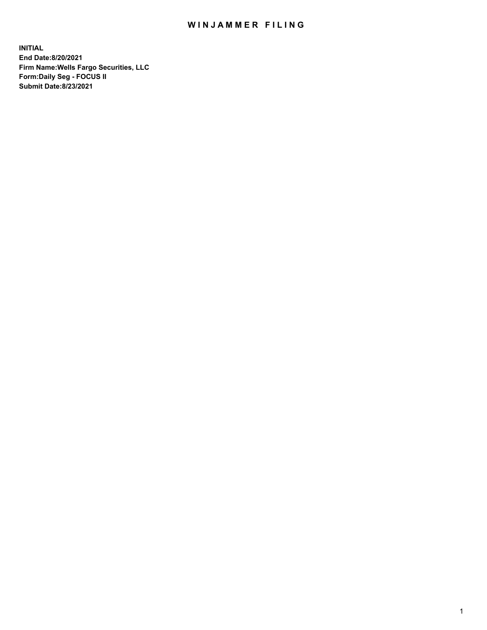## WIN JAMMER FILING

**INITIAL End Date:8/20/2021 Firm Name:Wells Fargo Securities, LLC Form:Daily Seg - FOCUS II Submit Date:8/23/2021**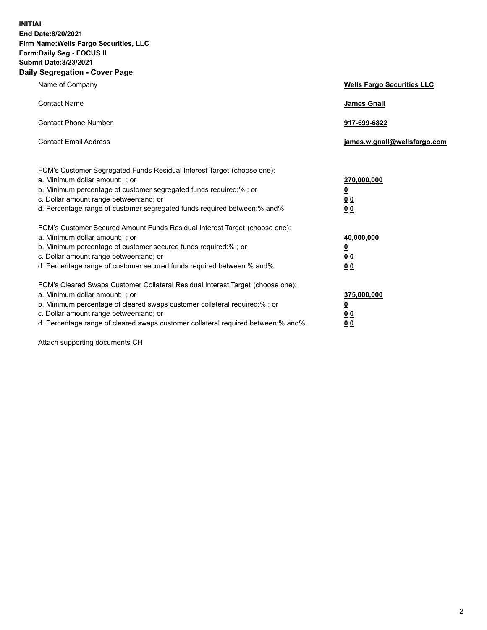**INITIAL End Date:8/20/2021 Firm Name:Wells Fargo Securities, LLC Form:Daily Seg - FOCUS II Submit Date:8/23/2021 Daily Segregation - Cover Page**

| Name of Company                                                                                                                                                                                                                                                                                                                | <b>Wells Fargo Securities LLC</b>                           |
|--------------------------------------------------------------------------------------------------------------------------------------------------------------------------------------------------------------------------------------------------------------------------------------------------------------------------------|-------------------------------------------------------------|
| <b>Contact Name</b>                                                                                                                                                                                                                                                                                                            | <b>James Gnall</b>                                          |
| <b>Contact Phone Number</b>                                                                                                                                                                                                                                                                                                    | 917-699-6822                                                |
| <b>Contact Email Address</b>                                                                                                                                                                                                                                                                                                   | james.w.gnall@wellsfargo.com                                |
| FCM's Customer Segregated Funds Residual Interest Target (choose one):<br>a. Minimum dollar amount: ; or<br>b. Minimum percentage of customer segregated funds required:% ; or<br>c. Dollar amount range between: and; or<br>d. Percentage range of customer segregated funds required between: % and %.                       | 270,000,000<br><u>0</u><br>0 <sub>0</sub><br>0 <sub>0</sub> |
| FCM's Customer Secured Amount Funds Residual Interest Target (choose one):<br>a. Minimum dollar amount: ; or<br>b. Minimum percentage of customer secured funds required: % ; or<br>c. Dollar amount range between: and; or<br>d. Percentage range of customer secured funds required between:% and%.                          | 40,000,000<br><u>0</u><br>0 <sub>0</sub><br>0 <sub>0</sub>  |
| FCM's Cleared Swaps Customer Collateral Residual Interest Target (choose one):<br>a. Minimum dollar amount: ; or<br>b. Minimum percentage of cleared swaps customer collateral required:% ; or<br>c. Dollar amount range between: and; or<br>d. Percentage range of cleared swaps customer collateral required between:% and%. | 375,000,000<br><u>0</u><br>00<br>00                         |

Attach supporting documents CH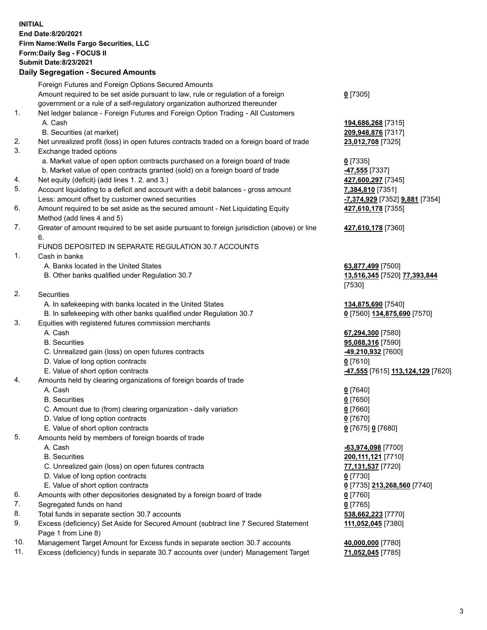**INITIAL End Date:8/20/2021 Firm Name:Wells Fargo Securities, LLC Form:Daily Seg - FOCUS II Submit Date:8/23/2021**

## **Daily Segregation - Secured Amounts**

|                 | Foreign Futures and Foreign Options Secured Amounts                                               |                                                       |
|-----------------|---------------------------------------------------------------------------------------------------|-------------------------------------------------------|
|                 | Amount required to be set aside pursuant to law, rule or regulation of a foreign                  | $0$ [7305]                                            |
|                 | government or a rule of a self-regulatory organization authorized thereunder                      |                                                       |
| 1.              | Net ledger balance - Foreign Futures and Foreign Option Trading - All Customers                   |                                                       |
|                 | A. Cash                                                                                           | 194,686,268 [7315]                                    |
|                 | B. Securities (at market)                                                                         | 209,948,876 [7317]                                    |
| 2.              | Net unrealized profit (loss) in open futures contracts traded on a foreign board of trade         | 23,012,708 [7325]                                     |
| 3.              | Exchange traded options                                                                           |                                                       |
|                 | a. Market value of open option contracts purchased on a foreign board of trade                    | $0$ [7335]                                            |
|                 | b. Market value of open contracts granted (sold) on a foreign board of trade                      | <b>-47,555</b> [7337]                                 |
| 4.              | Net equity (deficit) (add lines 1. 2. and 3.)                                                     | 427,600,297 [7345]                                    |
| 5.              | Account liquidating to a deficit and account with a debit balances - gross amount                 | 7,384,810 [7351]                                      |
|                 | Less: amount offset by customer owned securities                                                  | <u>-7,374,929</u> [7352] <b>9,881</b> [7354]          |
| 6.              | Amount required to be set aside as the secured amount - Net Liquidating Equity                    | 427,610,178 [7355]                                    |
|                 | Method (add lines 4 and 5)                                                                        |                                                       |
| 7.              | Greater of amount required to be set aside pursuant to foreign jurisdiction (above) or line<br>6. | 427,610,178 [7360]                                    |
|                 | FUNDS DEPOSITED IN SEPARATE REGULATION 30.7 ACCOUNTS                                              |                                                       |
| 1.              | Cash in banks                                                                                     |                                                       |
|                 | A. Banks located in the United States                                                             | 63,877,499 [7500]                                     |
|                 | B. Other banks qualified under Regulation 30.7                                                    | 13,516,345 [7520] 77,393,844                          |
|                 |                                                                                                   | [7530]                                                |
| 2.              | <b>Securities</b>                                                                                 |                                                       |
|                 | A. In safekeeping with banks located in the United States                                         | 134,875,690 [7540]                                    |
|                 | B. In safekeeping with other banks qualified under Regulation 30.7                                | 0 [7560] 134,875,690 [7570]                           |
| 3.              | Equities with registered futures commission merchants                                             |                                                       |
|                 | A. Cash                                                                                           | 67,294,300 [7580]                                     |
|                 | <b>B.</b> Securities                                                                              | 95,088,316 [7590]                                     |
|                 | C. Unrealized gain (loss) on open futures contracts                                               | -49,210,932 [7600]                                    |
|                 | D. Value of long option contracts                                                                 | $0$ [7610]                                            |
|                 | E. Value of short option contracts                                                                |                                                       |
| 4.              | Amounts held by clearing organizations of foreign boards of trade                                 | <mark>-47,555</mark> [7615] <u>113,124,129</u> [7620] |
|                 | A. Cash                                                                                           |                                                       |
|                 | <b>B.</b> Securities                                                                              | $0$ [7640]                                            |
|                 |                                                                                                   | $0$ [7650]                                            |
|                 | C. Amount due to (from) clearing organization - daily variation                                   | $0$ [7660]                                            |
|                 | D. Value of long option contracts                                                                 | $0$ [7670]                                            |
|                 | E. Value of short option contracts                                                                | 0 [7675] 0 [7680]                                     |
| 5.              | Amounts held by members of foreign boards of trade                                                |                                                       |
|                 | A. Cash                                                                                           | -63,974,098 [7700]                                    |
|                 | <b>B.</b> Securities                                                                              | 200, 111, 121 [7710]                                  |
|                 | C. Unrealized gain (loss) on open futures contracts                                               | 77,131,537 [7720]                                     |
|                 | D. Value of long option contracts                                                                 | $0$ [7730]                                            |
|                 | E. Value of short option contracts                                                                | 0 [7735] 213,268,560 [7740]                           |
| 6.              | Amounts with other depositories designated by a foreign board of trade                            | 0 [7760]                                              |
| 7.              | Segregated funds on hand                                                                          | $0$ [7765]                                            |
| 8.              | Total funds in separate section 30.7 accounts                                                     | 538,662,223 [7770]                                    |
| 9.              | Excess (deficiency) Set Aside for Secured Amount (subtract line 7 Secured Statement               | 111,052,045 [7380]                                    |
| $\overline{10}$ | Page 1 from Line 8)                                                                               |                                                       |
|                 |                                                                                                   |                                                       |

- 10. Management Target Amount for Excess funds in separate section 30.7 accounts **40,000,000** [7780]
- 11. Excess (deficiency) funds in separate 30.7 accounts over (under) Management Target **71,052,045** [7785]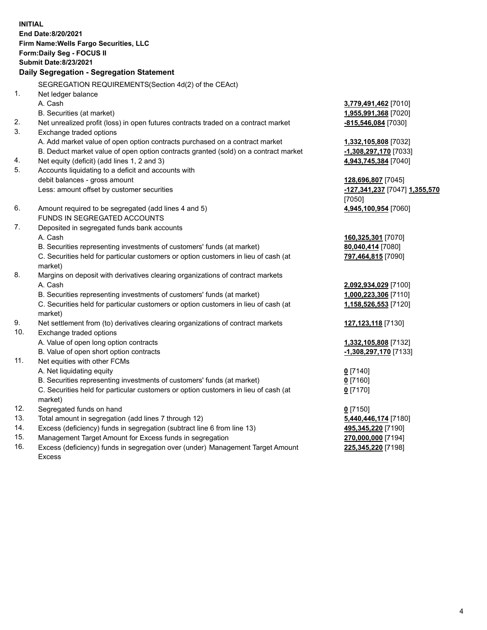**INITIAL End Date:8/20/2021 Firm Name:Wells Fargo Securities, LLC Form:Daily Seg - FOCUS II Submit Date:8/23/2021**

## **Daily Segregation - Segregation Statement**

SEGREGATION REQUIREMENTS(Section 4d(2) of the CEAct)

|     | SEGREGATION REQUIREMENTS(Section 40(2) OF the CEACH                                 |                               |
|-----|-------------------------------------------------------------------------------------|-------------------------------|
| 1.  | Net ledger balance                                                                  |                               |
|     | A. Cash                                                                             | 3,779,491,462 [7010]          |
|     | B. Securities (at market)                                                           | 1,955,991,368 [7020]          |
| 2.  | Net unrealized profit (loss) in open futures contracts traded on a contract market  | $-815,546,084$ [7030]         |
| 3.  | Exchange traded options                                                             |                               |
|     | A. Add market value of open option contracts purchased on a contract market         | 1,332,105,808 [7032]          |
|     | B. Deduct market value of open option contracts granted (sold) on a contract market | -1,308,297,170 [7033]         |
| 4.  | Net equity (deficit) (add lines 1, 2 and 3)                                         | 4,943,745,384 [7040]          |
| 5.  | Accounts liquidating to a deficit and accounts with                                 |                               |
|     | debit balances - gross amount                                                       | 128,696,807 [7045]            |
|     | Less: amount offset by customer securities                                          | -127,341,237 [7047] 1,355,570 |
|     |                                                                                     | [7050]                        |
| 6.  | Amount required to be segregated (add lines 4 and 5)                                | 4,945,100,954 [7060]          |
|     | FUNDS IN SEGREGATED ACCOUNTS                                                        |                               |
| 7.  | Deposited in segregated funds bank accounts                                         |                               |
|     | A. Cash                                                                             | 160,325,301 [7070]            |
|     | B. Securities representing investments of customers' funds (at market)              | 80,040,414 [7080]             |
|     | C. Securities held for particular customers or option customers in lieu of cash (at | 797,464,815 [7090]            |
|     | market)                                                                             |                               |
| 8.  | Margins on deposit with derivatives clearing organizations of contract markets      |                               |
|     | A. Cash                                                                             | 2,092,934,029 [7100]          |
|     | B. Securities representing investments of customers' funds (at market)              | 1,000,223,306 [7110]          |
|     | C. Securities held for particular customers or option customers in lieu of cash (at | 1,158,526,553 [7120]          |
|     | market)                                                                             |                               |
| 9.  | Net settlement from (to) derivatives clearing organizations of contract markets     | 127, 123, 118 [7130]          |
| 10. | Exchange traded options                                                             |                               |
|     | A. Value of open long option contracts                                              | 1,332,105,808 [7132]          |
|     | B. Value of open short option contracts                                             | -1,308,297,170 [7133]         |
| 11. | Net equities with other FCMs                                                        |                               |
|     | A. Net liquidating equity                                                           | $0$ [7140]                    |
|     | B. Securities representing investments of customers' funds (at market)              | $0$ [7160]                    |
|     | C. Securities held for particular customers or option customers in lieu of cash (at | $0$ [7170]                    |
|     | market)                                                                             |                               |
| 12. | Segregated funds on hand                                                            | $0$ [7150]                    |
| 13. | Total amount in segregation (add lines 7 through 12)                                | 5,440,446,174 [7180]          |
| 14. | Excess (deficiency) funds in segregation (subtract line 6 from line 13)             | 495,345,220 [7190]            |
| 15. | Management Target Amount for Excess funds in segregation                            | 270,000,000 [7194]            |
| 16. | Excess (deficiency) funds in segregation over (under) Management Target Amount      | 225,345,220 [7198]            |
|     | Excess                                                                              |                               |